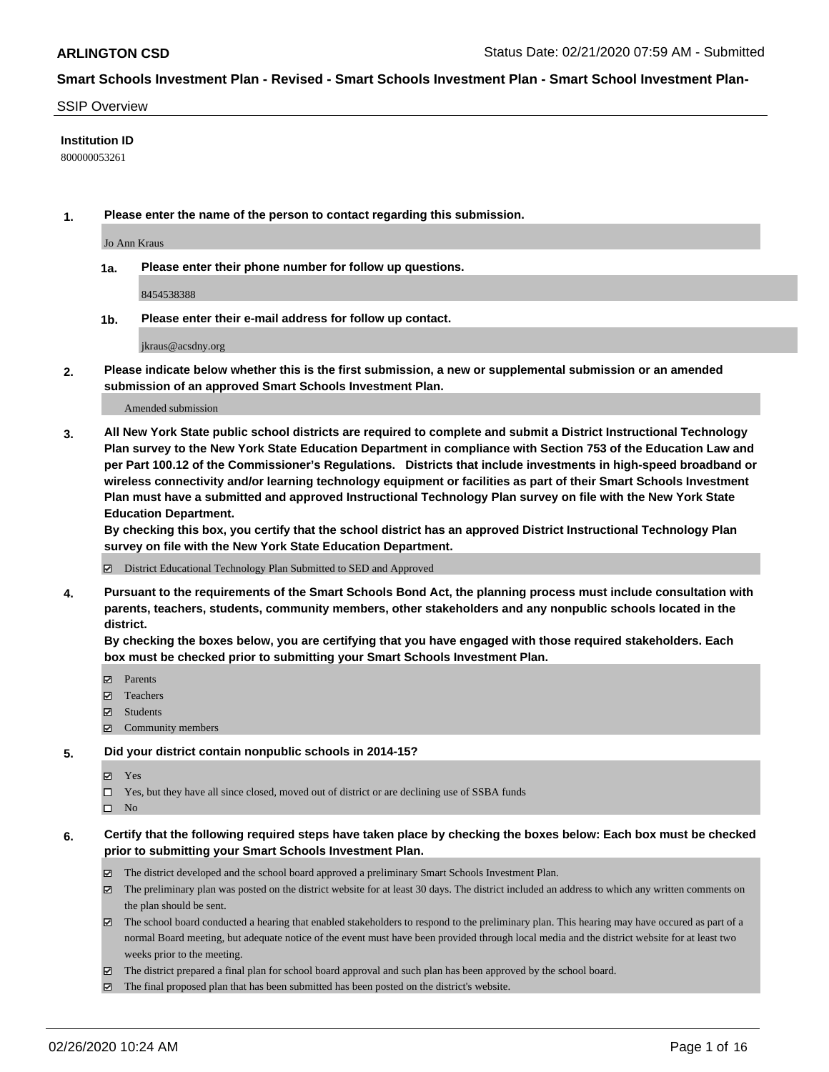#### SSIP Overview

### **Institution ID**

800000053261

**1. Please enter the name of the person to contact regarding this submission.**

Jo Ann Kraus

**1a. Please enter their phone number for follow up questions.**

8454538388

**1b. Please enter their e-mail address for follow up contact.**

jkraus@acsdny.org

**2. Please indicate below whether this is the first submission, a new or supplemental submission or an amended submission of an approved Smart Schools Investment Plan.**

#### Amended submission

**3. All New York State public school districts are required to complete and submit a District Instructional Technology Plan survey to the New York State Education Department in compliance with Section 753 of the Education Law and per Part 100.12 of the Commissioner's Regulations. Districts that include investments in high-speed broadband or wireless connectivity and/or learning technology equipment or facilities as part of their Smart Schools Investment Plan must have a submitted and approved Instructional Technology Plan survey on file with the New York State Education Department.** 

**By checking this box, you certify that the school district has an approved District Instructional Technology Plan survey on file with the New York State Education Department.**

District Educational Technology Plan Submitted to SED and Approved

**4. Pursuant to the requirements of the Smart Schools Bond Act, the planning process must include consultation with parents, teachers, students, community members, other stakeholders and any nonpublic schools located in the district.** 

**By checking the boxes below, you are certifying that you have engaged with those required stakeholders. Each box must be checked prior to submitting your Smart Schools Investment Plan.**

- **マ** Parents
- Teachers
- Students
- Community members

#### **5. Did your district contain nonpublic schools in 2014-15?**

**冈** Yes

Yes, but they have all since closed, moved out of district or are declining use of SSBA funds

 $\square$  No

- **6. Certify that the following required steps have taken place by checking the boxes below: Each box must be checked prior to submitting your Smart Schools Investment Plan.**
	- The district developed and the school board approved a preliminary Smart Schools Investment Plan.
	- $\boxtimes$  The preliminary plan was posted on the district website for at least 30 days. The district included an address to which any written comments on the plan should be sent.
	- $\boxtimes$  The school board conducted a hearing that enabled stakeholders to respond to the preliminary plan. This hearing may have occured as part of a normal Board meeting, but adequate notice of the event must have been provided through local media and the district website for at least two weeks prior to the meeting.
	- The district prepared a final plan for school board approval and such plan has been approved by the school board.
	- The final proposed plan that has been submitted has been posted on the district's website.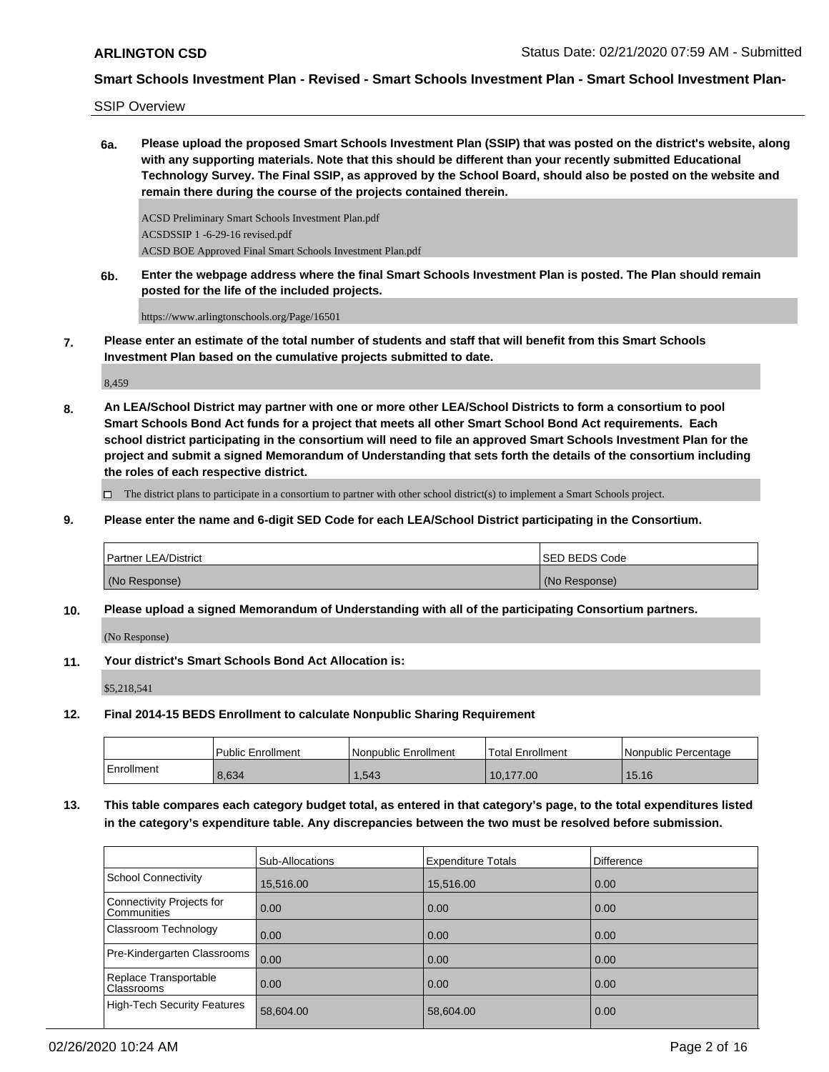SSIP Overview

**6a. Please upload the proposed Smart Schools Investment Plan (SSIP) that was posted on the district's website, along with any supporting materials. Note that this should be different than your recently submitted Educational Technology Survey. The Final SSIP, as approved by the School Board, should also be posted on the website and remain there during the course of the projects contained therein.**

ACSD Preliminary Smart Schools Investment Plan.pdf ACSDSSIP 1 -6-29-16 revised.pdf ACSD BOE Approved Final Smart Schools Investment Plan.pdf

**6b. Enter the webpage address where the final Smart Schools Investment Plan is posted. The Plan should remain posted for the life of the included projects.**

https://www.arlingtonschools.org/Page/16501

**7. Please enter an estimate of the total number of students and staff that will benefit from this Smart Schools Investment Plan based on the cumulative projects submitted to date.**

8,459

**8. An LEA/School District may partner with one or more other LEA/School Districts to form a consortium to pool Smart Schools Bond Act funds for a project that meets all other Smart School Bond Act requirements. Each school district participating in the consortium will need to file an approved Smart Schools Investment Plan for the project and submit a signed Memorandum of Understanding that sets forth the details of the consortium including the roles of each respective district.**

 $\Box$  The district plans to participate in a consortium to partner with other school district(s) to implement a Smart Schools project.

**9. Please enter the name and 6-digit SED Code for each LEA/School District participating in the Consortium.**

| <b>Partner LEA/District</b> | <b>ISED BEDS Code</b> |
|-----------------------------|-----------------------|
| (No Response)               | (No Response)         |

**10. Please upload a signed Memorandum of Understanding with all of the participating Consortium partners.**

(No Response)

**11. Your district's Smart Schools Bond Act Allocation is:**

\$5,218,541

**12. Final 2014-15 BEDS Enrollment to calculate Nonpublic Sharing Requirement**

|            | Public Enrollment | Nonpublic Enrollment | 'Total Enrollment | I Nonpublic Percentage |
|------------|-------------------|----------------------|-------------------|------------------------|
| Enrollment | 8,634             | 1,543                | 10,177.00         | 15.16                  |

**13. This table compares each category budget total, as entered in that category's page, to the total expenditures listed in the category's expenditure table. Any discrepancies between the two must be resolved before submission.**

|                                            | Sub-Allocations | <b>Expenditure Totals</b> | Difference |
|--------------------------------------------|-----------------|---------------------------|------------|
| <b>School Connectivity</b>                 | 15,516.00       | 15,516.00                 | 0.00       |
| Connectivity Projects for<br>Communities   | 0.00            | 0.00                      | 0.00       |
| Classroom Technology                       | 0.00            | 0.00                      | 0.00       |
| Pre-Kindergarten Classrooms                | 0.00            | 0.00                      | 0.00       |
| Replace Transportable<br><b>Classrooms</b> | 0.00            | 0.00                      | 0.00       |
| <b>High-Tech Security Features</b>         | 58,604.00       | 58,604.00                 | 0.00       |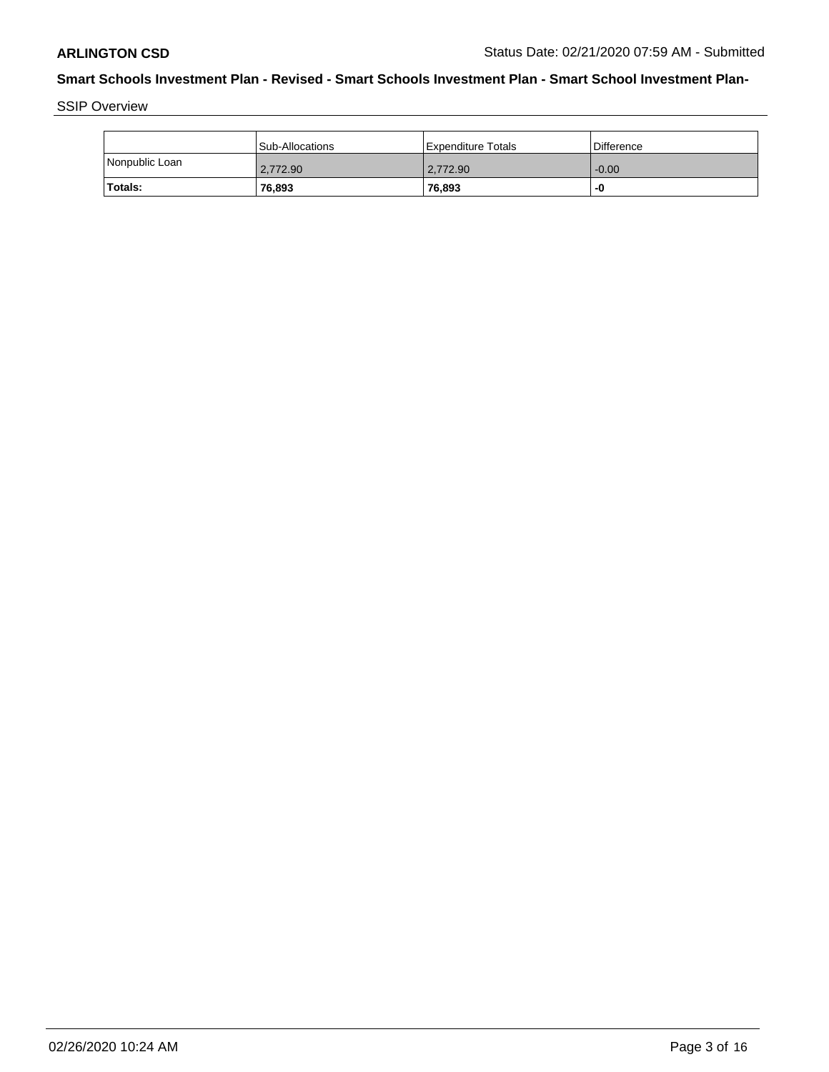SSIP Overview

|                | Sub-Allocations | Expenditure Totals | l Difference |
|----------------|-----------------|--------------------|--------------|
| Nonpublic Loan | 2.772.90        | 2.772.90           | $-0.00$      |
| <b>Totals:</b> | 76,893          | 76,893             | -0           |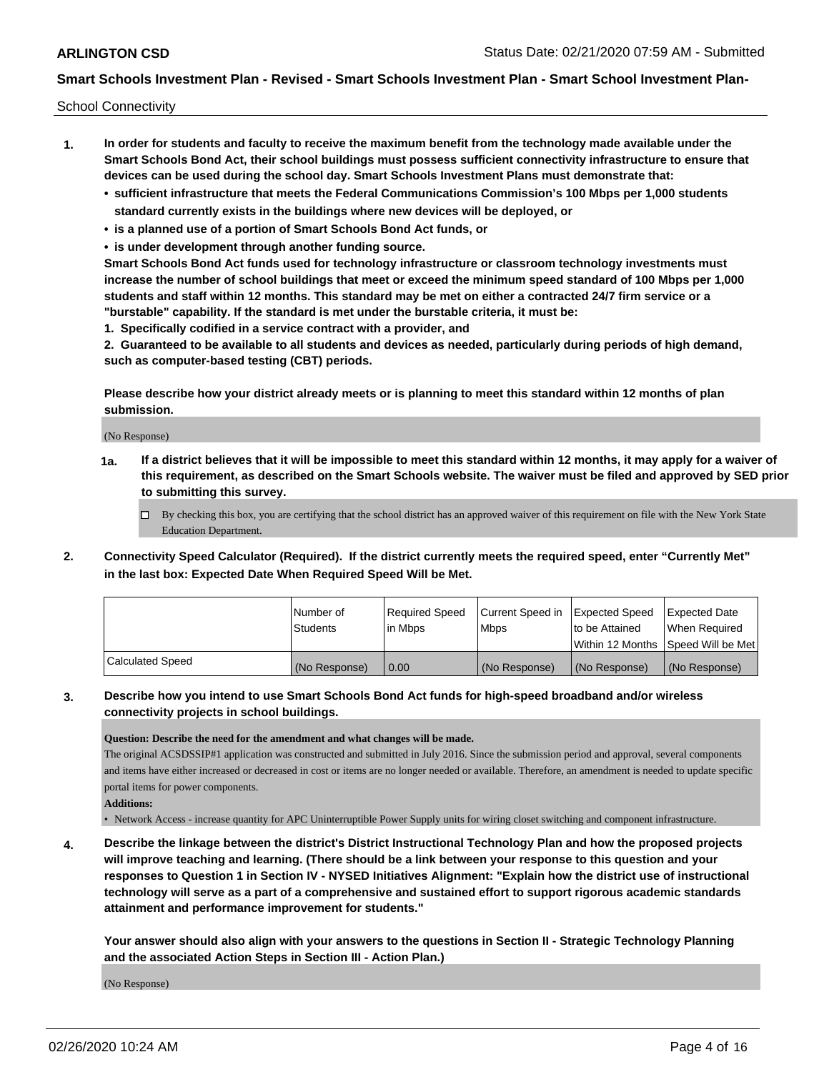School Connectivity

- **1. In order for students and faculty to receive the maximum benefit from the technology made available under the Smart Schools Bond Act, their school buildings must possess sufficient connectivity infrastructure to ensure that devices can be used during the school day. Smart Schools Investment Plans must demonstrate that:**
	- **• sufficient infrastructure that meets the Federal Communications Commission's 100 Mbps per 1,000 students standard currently exists in the buildings where new devices will be deployed, or**
	- **• is a planned use of a portion of Smart Schools Bond Act funds, or**
	- **• is under development through another funding source.**

**Smart Schools Bond Act funds used for technology infrastructure or classroom technology investments must increase the number of school buildings that meet or exceed the minimum speed standard of 100 Mbps per 1,000 students and staff within 12 months. This standard may be met on either a contracted 24/7 firm service or a "burstable" capability. If the standard is met under the burstable criteria, it must be:**

**1. Specifically codified in a service contract with a provider, and**

**2. Guaranteed to be available to all students and devices as needed, particularly during periods of high demand, such as computer-based testing (CBT) periods.**

**Please describe how your district already meets or is planning to meet this standard within 12 months of plan submission.**

(No Response)

**1a. If a district believes that it will be impossible to meet this standard within 12 months, it may apply for a waiver of this requirement, as described on the Smart Schools website. The waiver must be filed and approved by SED prior to submitting this survey.**

 $\Box$  By checking this box, you are certifying that the school district has an approved waiver of this requirement on file with the New York State Education Department.

**2. Connectivity Speed Calculator (Required). If the district currently meets the required speed, enter "Currently Met" in the last box: Expected Date When Required Speed Will be Met.**

|                  | l Number of     | Required Speed | Current Speed in | Expected Speed | Expected Date                       |
|------------------|-----------------|----------------|------------------|----------------|-------------------------------------|
|                  | <b>Students</b> | lin Mbps       | <b>Mbps</b>      | to be Attained | When Reauired                       |
|                  |                 |                |                  |                | Within 12 Months 1Speed Will be Met |
| Calculated Speed | (No Response)   | 0.00           | (No Response)    | (No Response)  | (No Response)                       |

### **3. Describe how you intend to use Smart Schools Bond Act funds for high-speed broadband and/or wireless connectivity projects in school buildings.**

**Question: Describe the need for the amendment and what changes will be made.** 

The original ACSDSSIP#1 application was constructed and submitted in July 2016. Since the submission period and approval, several components and items have either increased or decreased in cost or items are no longer needed or available. Therefore, an amendment is needed to update specific portal items for power components.

**Additions:**

• Network Access - increase quantity for APC Uninterruptible Power Supply units for wiring closet switching and component infrastructure.

**4. Describe the linkage between the district's District Instructional Technology Plan and how the proposed projects will improve teaching and learning. (There should be a link between your response to this question and your responses to Question 1 in Section IV - NYSED Initiatives Alignment: "Explain how the district use of instructional technology will serve as a part of a comprehensive and sustained effort to support rigorous academic standards attainment and performance improvement for students."** 

**Your answer should also align with your answers to the questions in Section II - Strategic Technology Planning and the associated Action Steps in Section III - Action Plan.)**

(No Response)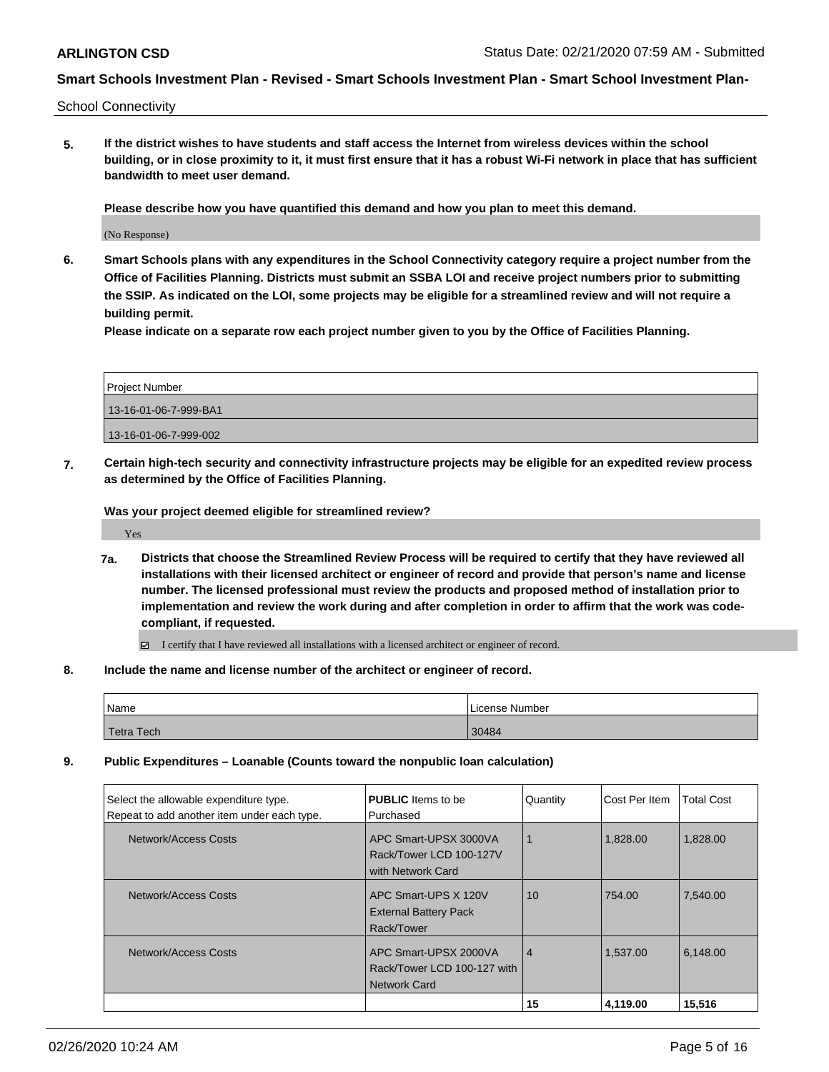School Connectivity

**5. If the district wishes to have students and staff access the Internet from wireless devices within the school building, or in close proximity to it, it must first ensure that it has a robust Wi-Fi network in place that has sufficient bandwidth to meet user demand.**

**Please describe how you have quantified this demand and how you plan to meet this demand.**

(No Response)

**6. Smart Schools plans with any expenditures in the School Connectivity category require a project number from the Office of Facilities Planning. Districts must submit an SSBA LOI and receive project numbers prior to submitting the SSIP. As indicated on the LOI, some projects may be eligible for a streamlined review and will not require a building permit.**

**Please indicate on a separate row each project number given to you by the Office of Facilities Planning.**

| Project Number        |  |
|-----------------------|--|
| 13-16-01-06-7-999-BA1 |  |
| 13-16-01-06-7-999-002 |  |

**7. Certain high-tech security and connectivity infrastructure projects may be eligible for an expedited review process as determined by the Office of Facilities Planning.**

**Was your project deemed eligible for streamlined review?**

Yes

**7a. Districts that choose the Streamlined Review Process will be required to certify that they have reviewed all installations with their licensed architect or engineer of record and provide that person's name and license number. The licensed professional must review the products and proposed method of installation prior to implementation and review the work during and after completion in order to affirm that the work was codecompliant, if requested.**

I certify that I have reviewed all installations with a licensed architect or engineer of record.

**8. Include the name and license number of the architect or engineer of record.**

| 'Name      | License Number |
|------------|----------------|
| Tetra Tech | 30484          |

**9. Public Expenditures – Loanable (Counts toward the nonpublic loan calculation)**

| Select the allowable expenditure type.<br>Repeat to add another item under each type. | <b>PUBLIC</b> Items to be<br>Purchased                                      | Quantity       | Cost Per Item | Total Cost |
|---------------------------------------------------------------------------------------|-----------------------------------------------------------------------------|----------------|---------------|------------|
| Network/Access Costs                                                                  | APC Smart-UPSX 3000VA<br>Rack/Tower LCD 100-127V<br>with Network Card       |                | 1,828.00      | 1,828.00   |
| Network/Access Costs                                                                  | APC Smart-UPS X 120V<br><b>External Battery Pack</b><br>Rack/Tower          | 10             | 754.00        | 7.540.00   |
| Network/Access Costs                                                                  | APC Smart-UPSX 2000VA<br>Rack/Tower LCD 100-127 with<br><b>Network Card</b> | $\overline{4}$ | 1,537.00      | 6,148.00   |
|                                                                                       |                                                                             | 15             | 4,119.00      | 15,516     |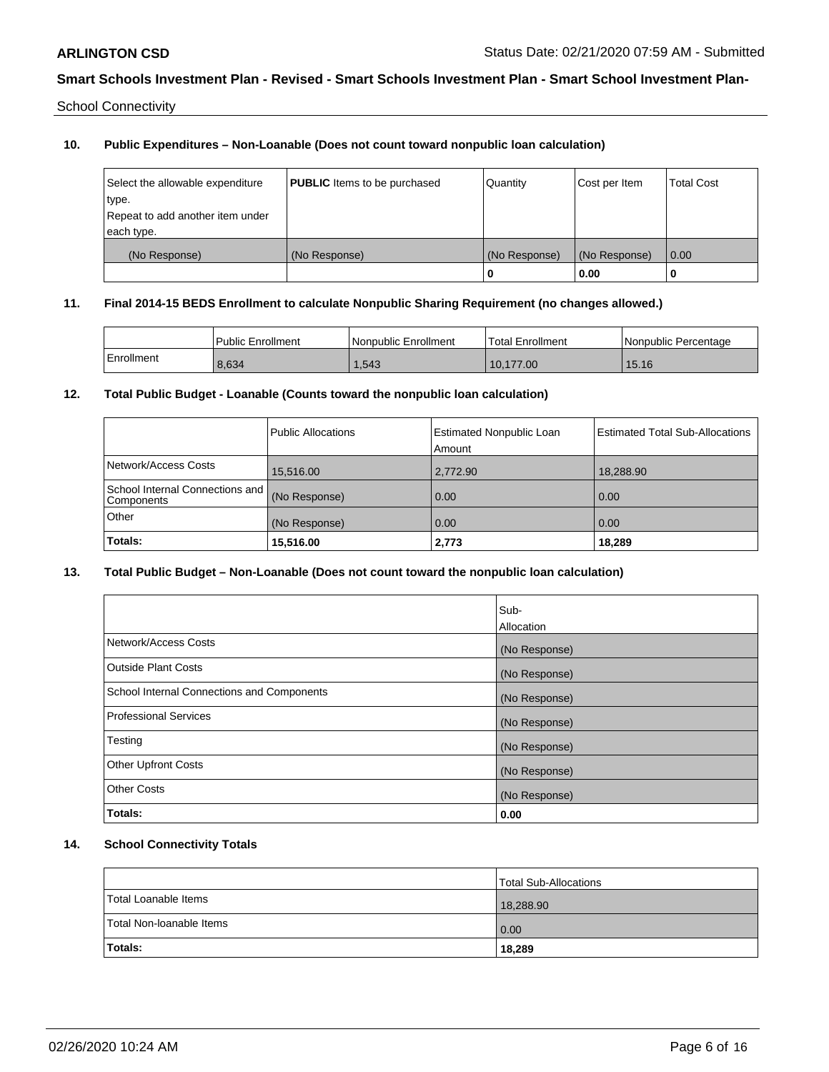School Connectivity

### **10. Public Expenditures – Non-Loanable (Does not count toward nonpublic loan calculation)**

| Select the allowable expenditure<br>type.<br>Repeat to add another item under<br>each type. | <b>PUBLIC</b> Items to be purchased | Quantity           | Cost per Item         | <b>Total Cost</b> |
|---------------------------------------------------------------------------------------------|-------------------------------------|--------------------|-----------------------|-------------------|
| (No Response)                                                                               | (No Response)                       | (No Response)<br>0 | (No Response)<br>0.00 | 0.00              |

#### **11. Final 2014-15 BEDS Enrollment to calculate Nonpublic Sharing Requirement (no changes allowed.)**

|            | <b>Public Enrollment</b> | l Nonpublic Enrollment | <b>Total Enrollment</b> | l Nonpublic Percentage |
|------------|--------------------------|------------------------|-------------------------|------------------------|
| Enrollment | 8,634                    | 1,543                  | 10.177.00               | 15.16                  |

### **12. Total Public Budget - Loanable (Counts toward the nonpublic loan calculation)**

|                                               | Public Allocations | <b>Estimated Nonpublic Loan</b><br>Amount | <b>Estimated Total Sub-Allocations</b> |
|-----------------------------------------------|--------------------|-------------------------------------------|----------------------------------------|
| Network/Access Costs                          | 15,516.00          | 2,772.90                                  | 18,288.90                              |
| School Internal Connections and<br>Components | (No Response)      | 0.00                                      | 0.00                                   |
| Other                                         | (No Response)      | 0.00                                      | 0.00                                   |
| Totals:                                       | 15,516.00          | 2,773                                     | 18,289                                 |

### **13. Total Public Budget – Non-Loanable (Does not count toward the nonpublic loan calculation)**

|                                            | Sub-<br>Allocation |
|--------------------------------------------|--------------------|
| Network/Access Costs                       | (No Response)      |
| <b>Outside Plant Costs</b>                 | (No Response)      |
| School Internal Connections and Components | (No Response)      |
| Professional Services                      | (No Response)      |
| Testing                                    | (No Response)      |
| <b>Other Upfront Costs</b>                 | (No Response)      |
| <b>Other Costs</b>                         | (No Response)      |
| Totals:                                    | 0.00               |

## **14. School Connectivity Totals**

|                          | Total Sub-Allocations |
|--------------------------|-----------------------|
| Total Loanable Items     | 18,288.90             |
| Total Non-Ioanable Items | 0.00                  |
| <b>Totals:</b>           | 18,289                |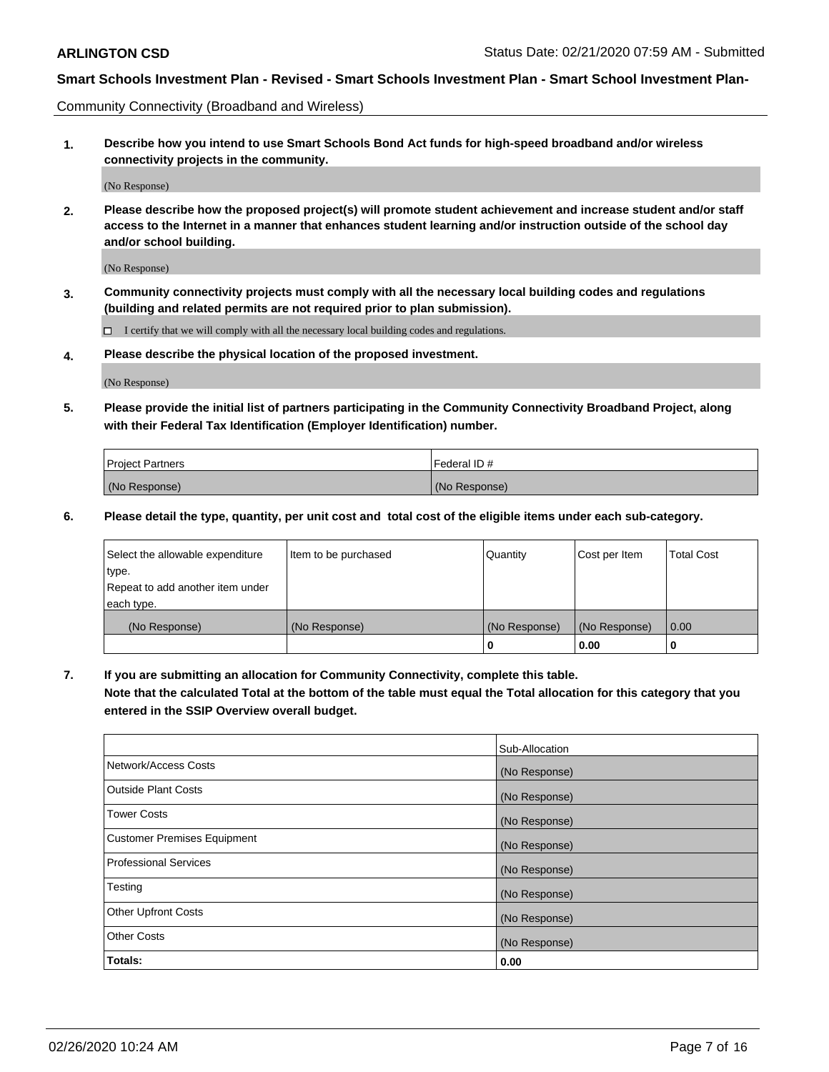Community Connectivity (Broadband and Wireless)

**1. Describe how you intend to use Smart Schools Bond Act funds for high-speed broadband and/or wireless connectivity projects in the community.**

(No Response)

**2. Please describe how the proposed project(s) will promote student achievement and increase student and/or staff access to the Internet in a manner that enhances student learning and/or instruction outside of the school day and/or school building.**

(No Response)

**3. Community connectivity projects must comply with all the necessary local building codes and regulations (building and related permits are not required prior to plan submission).**

 $\Box$  I certify that we will comply with all the necessary local building codes and regulations.

**4. Please describe the physical location of the proposed investment.**

(No Response)

**5. Please provide the initial list of partners participating in the Community Connectivity Broadband Project, along with their Federal Tax Identification (Employer Identification) number.**

| <b>Project Partners</b> | l Federal ID # |
|-------------------------|----------------|
| (No Response)           | (No Response)  |

**6. Please detail the type, quantity, per unit cost and total cost of the eligible items under each sub-category.**

| Select the allowable expenditure | Item to be purchased | Quantity      | Cost per Item | <b>Total Cost</b> |
|----------------------------------|----------------------|---------------|---------------|-------------------|
| type.                            |                      |               |               |                   |
| Repeat to add another item under |                      |               |               |                   |
| each type.                       |                      |               |               |                   |
| (No Response)                    | (No Response)        | (No Response) | (No Response) | 0.00              |
|                                  |                      | o             | 0.00          |                   |

**7. If you are submitting an allocation for Community Connectivity, complete this table.**

**Note that the calculated Total at the bottom of the table must equal the Total allocation for this category that you entered in the SSIP Overview overall budget.**

|                                    | Sub-Allocation |
|------------------------------------|----------------|
| Network/Access Costs               | (No Response)  |
| Outside Plant Costs                | (No Response)  |
| <b>Tower Costs</b>                 | (No Response)  |
| <b>Customer Premises Equipment</b> | (No Response)  |
| <b>Professional Services</b>       | (No Response)  |
| Testing                            | (No Response)  |
| <b>Other Upfront Costs</b>         | (No Response)  |
| <b>Other Costs</b>                 | (No Response)  |
| Totals:                            | 0.00           |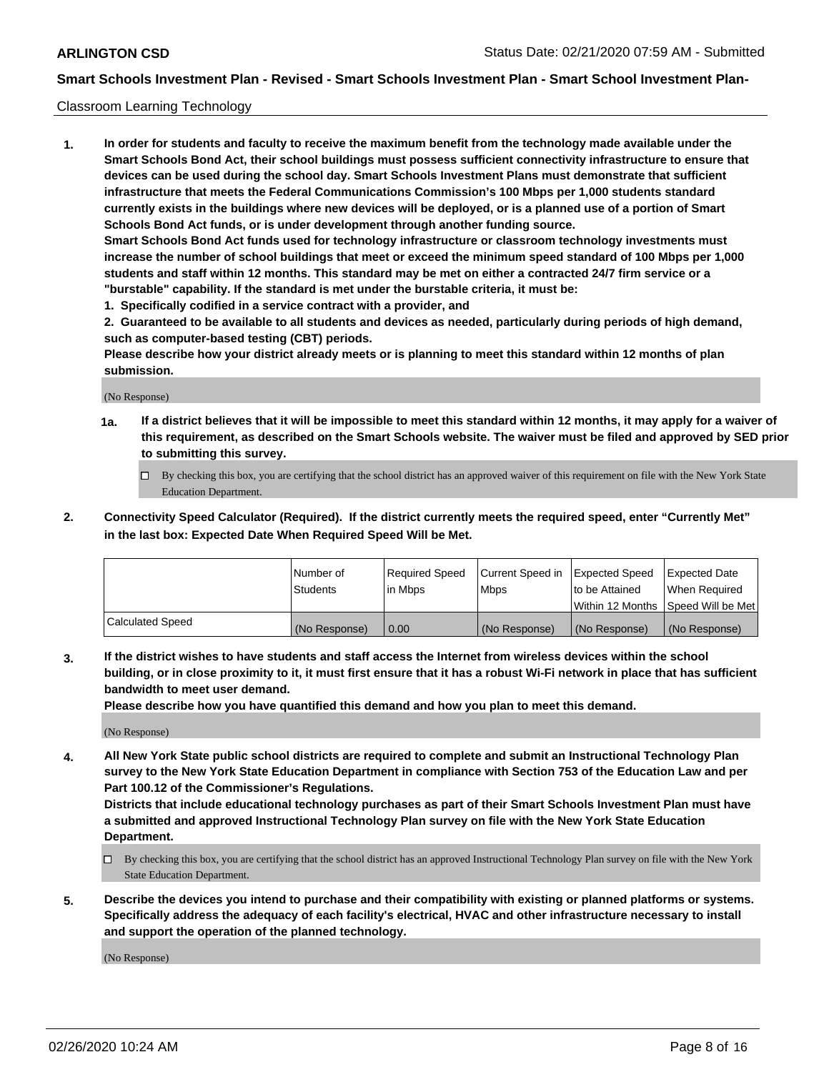#### Classroom Learning Technology

**1. In order for students and faculty to receive the maximum benefit from the technology made available under the Smart Schools Bond Act, their school buildings must possess sufficient connectivity infrastructure to ensure that devices can be used during the school day. Smart Schools Investment Plans must demonstrate that sufficient infrastructure that meets the Federal Communications Commission's 100 Mbps per 1,000 students standard currently exists in the buildings where new devices will be deployed, or is a planned use of a portion of Smart Schools Bond Act funds, or is under development through another funding source. Smart Schools Bond Act funds used for technology infrastructure or classroom technology investments must increase the number of school buildings that meet or exceed the minimum speed standard of 100 Mbps per 1,000 students and staff within 12 months. This standard may be met on either a contracted 24/7 firm service or a "burstable" capability. If the standard is met under the burstable criteria, it must be:**

**1. Specifically codified in a service contract with a provider, and**

**2. Guaranteed to be available to all students and devices as needed, particularly during periods of high demand, such as computer-based testing (CBT) periods.**

**Please describe how your district already meets or is planning to meet this standard within 12 months of plan submission.**

(No Response)

- **1a. If a district believes that it will be impossible to meet this standard within 12 months, it may apply for a waiver of this requirement, as described on the Smart Schools website. The waiver must be filed and approved by SED prior to submitting this survey.**
	- By checking this box, you are certifying that the school district has an approved waiver of this requirement on file with the New York State Education Department.
- **2. Connectivity Speed Calculator (Required). If the district currently meets the required speed, enter "Currently Met" in the last box: Expected Date When Required Speed Will be Met.**

|                  | l Number of     | Required Speed | Current Speed in | <b>Expected Speed</b> | <b>Expected Date</b>                |
|------------------|-----------------|----------------|------------------|-----------------------|-------------------------------------|
|                  | <b>Students</b> | l in Mbps      | l Mbps           | to be Attained        | When Required                       |
|                  |                 |                |                  |                       | Within 12 Months  Speed Will be Met |
| Calculated Speed | (No Response)   | 0.00           | (No Response)    | l (No Response)       | (No Response)                       |

**3. If the district wishes to have students and staff access the Internet from wireless devices within the school building, or in close proximity to it, it must first ensure that it has a robust Wi-Fi network in place that has sufficient bandwidth to meet user demand.**

**Please describe how you have quantified this demand and how you plan to meet this demand.**

(No Response)

**4. All New York State public school districts are required to complete and submit an Instructional Technology Plan survey to the New York State Education Department in compliance with Section 753 of the Education Law and per Part 100.12 of the Commissioner's Regulations.**

**Districts that include educational technology purchases as part of their Smart Schools Investment Plan must have a submitted and approved Instructional Technology Plan survey on file with the New York State Education Department.**

- By checking this box, you are certifying that the school district has an approved Instructional Technology Plan survey on file with the New York State Education Department.
- **5. Describe the devices you intend to purchase and their compatibility with existing or planned platforms or systems. Specifically address the adequacy of each facility's electrical, HVAC and other infrastructure necessary to install and support the operation of the planned technology.**

(No Response)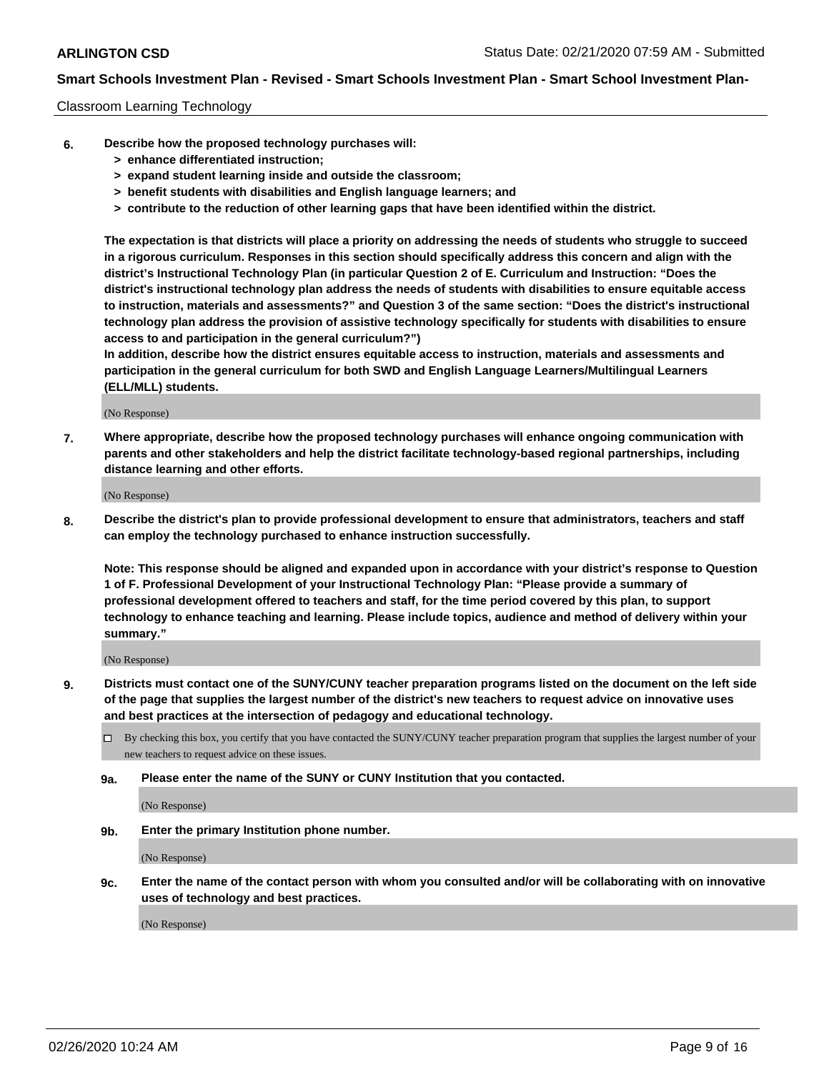#### Classroom Learning Technology

- **6. Describe how the proposed technology purchases will:**
	- **> enhance differentiated instruction;**
	- **> expand student learning inside and outside the classroom;**
	- **> benefit students with disabilities and English language learners; and**
	- **> contribute to the reduction of other learning gaps that have been identified within the district.**

**The expectation is that districts will place a priority on addressing the needs of students who struggle to succeed in a rigorous curriculum. Responses in this section should specifically address this concern and align with the district's Instructional Technology Plan (in particular Question 2 of E. Curriculum and Instruction: "Does the district's instructional technology plan address the needs of students with disabilities to ensure equitable access to instruction, materials and assessments?" and Question 3 of the same section: "Does the district's instructional technology plan address the provision of assistive technology specifically for students with disabilities to ensure access to and participation in the general curriculum?")**

**In addition, describe how the district ensures equitable access to instruction, materials and assessments and participation in the general curriculum for both SWD and English Language Learners/Multilingual Learners (ELL/MLL) students.**

(No Response)

**7. Where appropriate, describe how the proposed technology purchases will enhance ongoing communication with parents and other stakeholders and help the district facilitate technology-based regional partnerships, including distance learning and other efforts.**

(No Response)

**8. Describe the district's plan to provide professional development to ensure that administrators, teachers and staff can employ the technology purchased to enhance instruction successfully.**

**Note: This response should be aligned and expanded upon in accordance with your district's response to Question 1 of F. Professional Development of your Instructional Technology Plan: "Please provide a summary of professional development offered to teachers and staff, for the time period covered by this plan, to support technology to enhance teaching and learning. Please include topics, audience and method of delivery within your summary."**

(No Response)

- **9. Districts must contact one of the SUNY/CUNY teacher preparation programs listed on the document on the left side of the page that supplies the largest number of the district's new teachers to request advice on innovative uses and best practices at the intersection of pedagogy and educational technology.**
	- By checking this box, you certify that you have contacted the SUNY/CUNY teacher preparation program that supplies the largest number of your new teachers to request advice on these issues.
	- **9a. Please enter the name of the SUNY or CUNY Institution that you contacted.**

(No Response)

**9b. Enter the primary Institution phone number.**

(No Response)

**9c. Enter the name of the contact person with whom you consulted and/or will be collaborating with on innovative uses of technology and best practices.**

(No Response)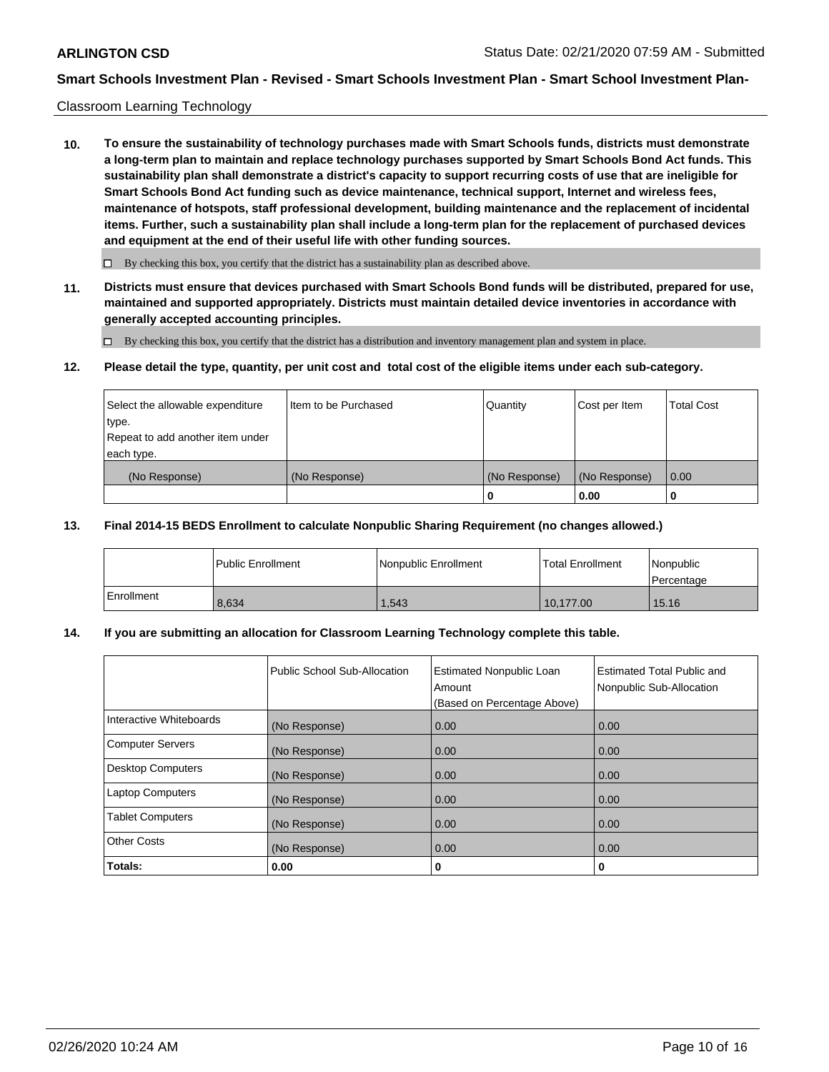#### Classroom Learning Technology

**10. To ensure the sustainability of technology purchases made with Smart Schools funds, districts must demonstrate a long-term plan to maintain and replace technology purchases supported by Smart Schools Bond Act funds. This sustainability plan shall demonstrate a district's capacity to support recurring costs of use that are ineligible for Smart Schools Bond Act funding such as device maintenance, technical support, Internet and wireless fees, maintenance of hotspots, staff professional development, building maintenance and the replacement of incidental items. Further, such a sustainability plan shall include a long-term plan for the replacement of purchased devices and equipment at the end of their useful life with other funding sources.**

 $\Box$  By checking this box, you certify that the district has a sustainability plan as described above.

**11. Districts must ensure that devices purchased with Smart Schools Bond funds will be distributed, prepared for use, maintained and supported appropriately. Districts must maintain detailed device inventories in accordance with generally accepted accounting principles.**

By checking this box, you certify that the district has a distribution and inventory management plan and system in place.

#### **12. Please detail the type, quantity, per unit cost and total cost of the eligible items under each sub-category.**

| Select the allowable expenditure<br>type.<br>Repeat to add another item under | Item to be Purchased | Quantity      | Cost per Item | <b>Total Cost</b> |
|-------------------------------------------------------------------------------|----------------------|---------------|---------------|-------------------|
| each type.<br>(No Response)                                                   | (No Response)        | (No Response) | (No Response) | 0.00              |
|                                                                               |                      | 0             | 0.00          |                   |

#### **13. Final 2014-15 BEDS Enrollment to calculate Nonpublic Sharing Requirement (no changes allowed.)**

|              | l Public Enrollment | Nonpublic Enrollment | <b>Total Enrollment</b> | Nonpublic<br>l Percentage |
|--------------|---------------------|----------------------|-------------------------|---------------------------|
| l Enrollment | 8.634               | .543                 | 10.177.00               | 15.16                     |

### **14. If you are submitting an allocation for Classroom Learning Technology complete this table.**

|                         | Public School Sub-Allocation | <b>Estimated Nonpublic Loan</b><br>Amount<br>(Based on Percentage Above) | Estimated Total Public and<br>Nonpublic Sub-Allocation |
|-------------------------|------------------------------|--------------------------------------------------------------------------|--------------------------------------------------------|
| Interactive Whiteboards | (No Response)                | 0.00                                                                     | 0.00                                                   |
| Computer Servers        | (No Response)                | 0.00                                                                     | 0.00                                                   |
| Desktop Computers       | (No Response)                | 0.00                                                                     | 0.00                                                   |
| <b>Laptop Computers</b> | (No Response)                | 0.00                                                                     | 0.00                                                   |
| <b>Tablet Computers</b> | (No Response)                | 0.00                                                                     | 0.00                                                   |
| Other Costs             | (No Response)                | 0.00                                                                     | 0.00                                                   |
| Totals:                 | 0.00                         | 0                                                                        | 0                                                      |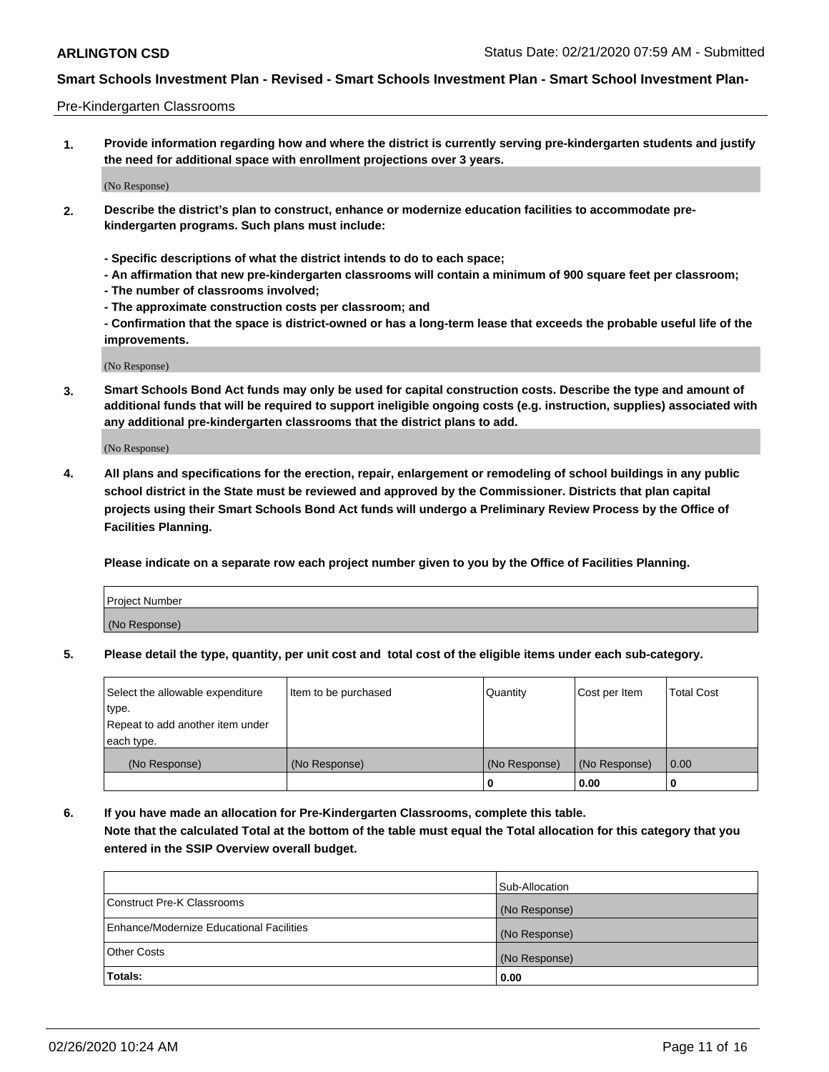#### Pre-Kindergarten Classrooms

**1. Provide information regarding how and where the district is currently serving pre-kindergarten students and justify the need for additional space with enrollment projections over 3 years.**

(No Response)

- **2. Describe the district's plan to construct, enhance or modernize education facilities to accommodate prekindergarten programs. Such plans must include:**
	- **Specific descriptions of what the district intends to do to each space;**
	- **An affirmation that new pre-kindergarten classrooms will contain a minimum of 900 square feet per classroom;**
	- **The number of classrooms involved;**
	- **The approximate construction costs per classroom; and**
	- **Confirmation that the space is district-owned or has a long-term lease that exceeds the probable useful life of the improvements.**

(No Response)

**3. Smart Schools Bond Act funds may only be used for capital construction costs. Describe the type and amount of additional funds that will be required to support ineligible ongoing costs (e.g. instruction, supplies) associated with any additional pre-kindergarten classrooms that the district plans to add.**

(No Response)

**4. All plans and specifications for the erection, repair, enlargement or remodeling of school buildings in any public school district in the State must be reviewed and approved by the Commissioner. Districts that plan capital projects using their Smart Schools Bond Act funds will undergo a Preliminary Review Process by the Office of Facilities Planning.**

**Please indicate on a separate row each project number given to you by the Office of Facilities Planning.**

| Project Number |  |
|----------------|--|
| (No Response)  |  |
|                |  |

**5. Please detail the type, quantity, per unit cost and total cost of the eligible items under each sub-category.**

| Select the allowable expenditure | Item to be purchased | Quantity      | Cost per Item | <b>Total Cost</b> |
|----------------------------------|----------------------|---------------|---------------|-------------------|
| type.                            |                      |               |               |                   |
| Repeat to add another item under |                      |               |               |                   |
| each type.                       |                      |               |               |                   |
| (No Response)                    | (No Response)        | (No Response) | (No Response) | 0.00              |
|                                  |                      | υ             | 0.00          |                   |

**6. If you have made an allocation for Pre-Kindergarten Classrooms, complete this table. Note that the calculated Total at the bottom of the table must equal the Total allocation for this category that you entered in the SSIP Overview overall budget.**

|                                          | Sub-Allocation |
|------------------------------------------|----------------|
| Construct Pre-K Classrooms               | (No Response)  |
| Enhance/Modernize Educational Facilities | (No Response)  |
| <b>Other Costs</b>                       | (No Response)  |
| Totals:                                  | 0.00           |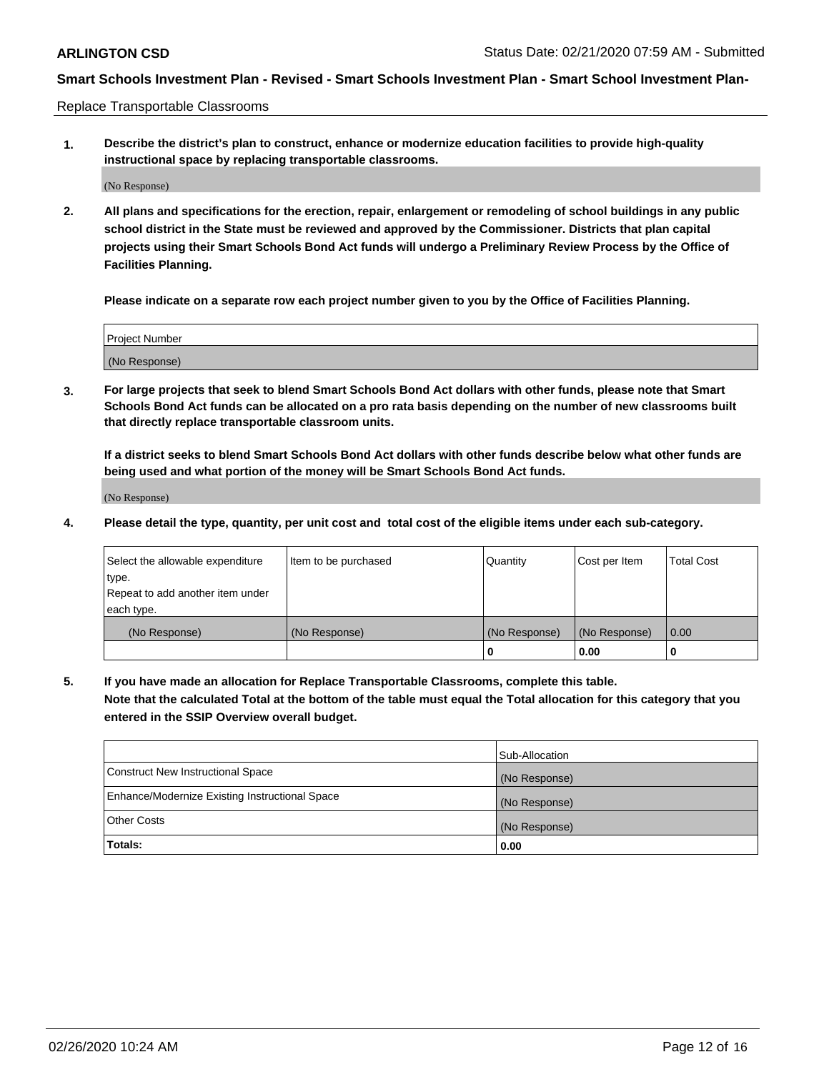Replace Transportable Classrooms

**1. Describe the district's plan to construct, enhance or modernize education facilities to provide high-quality instructional space by replacing transportable classrooms.**

(No Response)

**2. All plans and specifications for the erection, repair, enlargement or remodeling of school buildings in any public school district in the State must be reviewed and approved by the Commissioner. Districts that plan capital projects using their Smart Schools Bond Act funds will undergo a Preliminary Review Process by the Office of Facilities Planning.**

**Please indicate on a separate row each project number given to you by the Office of Facilities Planning.**

| Project Number |  |
|----------------|--|
|                |  |
|                |  |
|                |  |
| (No Response)  |  |
|                |  |
|                |  |

**3. For large projects that seek to blend Smart Schools Bond Act dollars with other funds, please note that Smart Schools Bond Act funds can be allocated on a pro rata basis depending on the number of new classrooms built that directly replace transportable classroom units.**

**If a district seeks to blend Smart Schools Bond Act dollars with other funds describe below what other funds are being used and what portion of the money will be Smart Schools Bond Act funds.**

(No Response)

**4. Please detail the type, quantity, per unit cost and total cost of the eligible items under each sub-category.**

| Select the allowable expenditure | Item to be purchased | Quantity      | Cost per Item | Total Cost |
|----------------------------------|----------------------|---------------|---------------|------------|
| ∣type.                           |                      |               |               |            |
| Repeat to add another item under |                      |               |               |            |
| each type.                       |                      |               |               |            |
| (No Response)                    | (No Response)        | (No Response) | (No Response) | 0.00       |
|                                  |                      | u             | 0.00          |            |

**5. If you have made an allocation for Replace Transportable Classrooms, complete this table. Note that the calculated Total at the bottom of the table must equal the Total allocation for this category that you entered in the SSIP Overview overall budget.**

|                                                | Sub-Allocation |
|------------------------------------------------|----------------|
| Construct New Instructional Space              | (No Response)  |
| Enhance/Modernize Existing Instructional Space | (No Response)  |
| <b>Other Costs</b>                             | (No Response)  |
| Totals:                                        | 0.00           |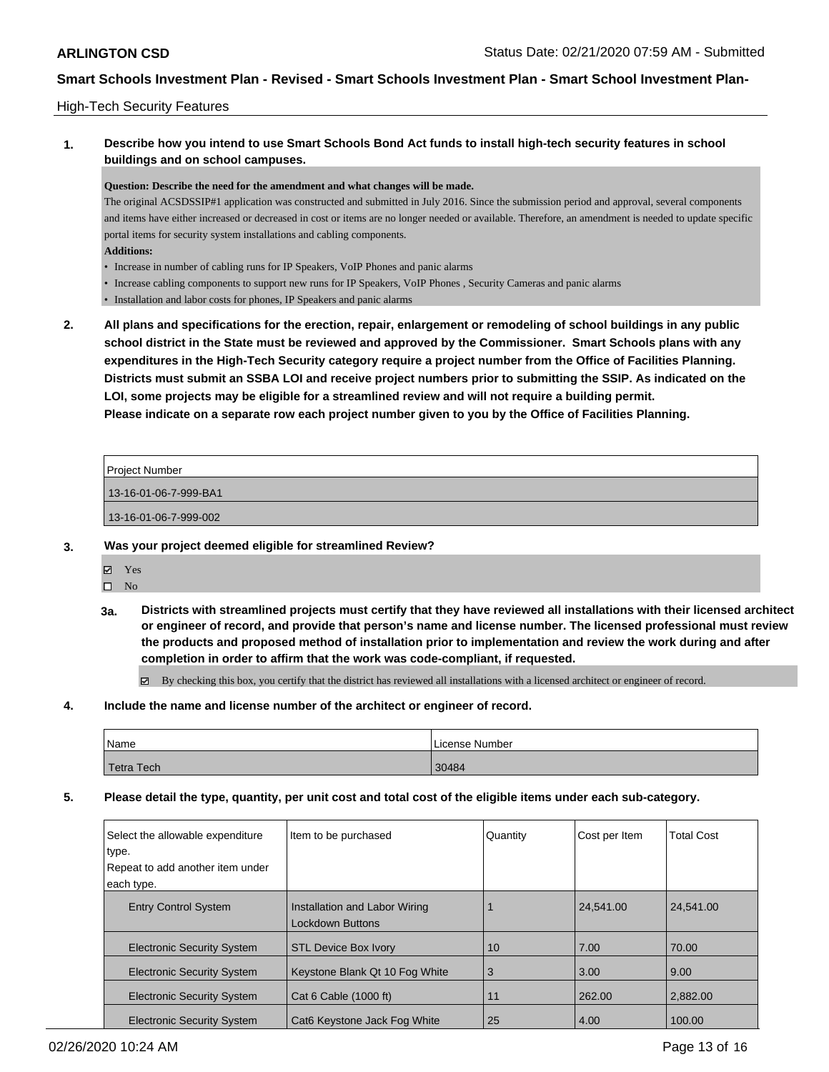### High-Tech Security Features

### **1. Describe how you intend to use Smart Schools Bond Act funds to install high-tech security features in school buildings and on school campuses.**

#### **Question: Describe the need for the amendment and what changes will be made.**

The original ACSDSSIP#1 application was constructed and submitted in July 2016. Since the submission period and approval, several components and items have either increased or decreased in cost or items are no longer needed or available. Therefore, an amendment is needed to update specific portal items for security system installations and cabling components.

- **Additions:**
- Increase in number of cabling runs for IP Speakers, VoIP Phones and panic alarms
- Increase cabling components to support new runs for IP Speakers, VoIP Phones , Security Cameras and panic alarms
- Installation and labor costs for phones, IP Speakers and panic alarms
- **2. All plans and specifications for the erection, repair, enlargement or remodeling of school buildings in any public school district in the State must be reviewed and approved by the Commissioner. Smart Schools plans with any expenditures in the High-Tech Security category require a project number from the Office of Facilities Planning. Districts must submit an SSBA LOI and receive project numbers prior to submitting the SSIP. As indicated on the LOI, some projects may be eligible for a streamlined review and will not require a building permit. Please indicate on a separate row each project number given to you by the Office of Facilities Planning.**

| <b>Project Number</b> |  |
|-----------------------|--|
| 13-16-01-06-7-999-BA1 |  |
| 13-16-01-06-7-999-002 |  |
|                       |  |

#### **3. Was your project deemed eligible for streamlined Review?**

- $\square$  No
- **3a. Districts with streamlined projects must certify that they have reviewed all installations with their licensed architect or engineer of record, and provide that person's name and license number. The licensed professional must review the products and proposed method of installation prior to implementation and review the work during and after completion in order to affirm that the work was code-compliant, if requested.**

By checking this box, you certify that the district has reviewed all installations with a licensed architect or engineer of record.

#### **4. Include the name and license number of the architect or engineer of record.**

| Name       | License Number |
|------------|----------------|
| Fetra Tech | 30484          |

### **5. Please detail the type, quantity, per unit cost and total cost of the eligible items under each sub-category.**

| Select the allowable expenditure<br>type. | Item to be purchased                              | Quantity | Cost per Item | <b>Total Cost</b> |
|-------------------------------------------|---------------------------------------------------|----------|---------------|-------------------|
| Repeat to add another item under          |                                                   |          |               |                   |
| each type.                                |                                                   |          |               |                   |
| <b>Entry Control System</b>               | Installation and Labor Wiring<br>Lockdown Buttons |          | 24.541.00     | 24.541.00         |
| <b>Electronic Security System</b>         | <b>STL Device Box Ivory</b>                       | 10       | 7.00          | 70.00             |
| <b>Electronic Security System</b>         | Keystone Blank Qt 10 Fog White                    | 3        | 3.00          | 9.00              |
| <b>Electronic Security System</b>         | Cat 6 Cable (1000 ft)                             | 11       | 262.00        | 2,882.00          |
| <b>Electronic Security System</b>         | Cat6 Keystone Jack Fog White                      | 25       | 4.00          | 100.00            |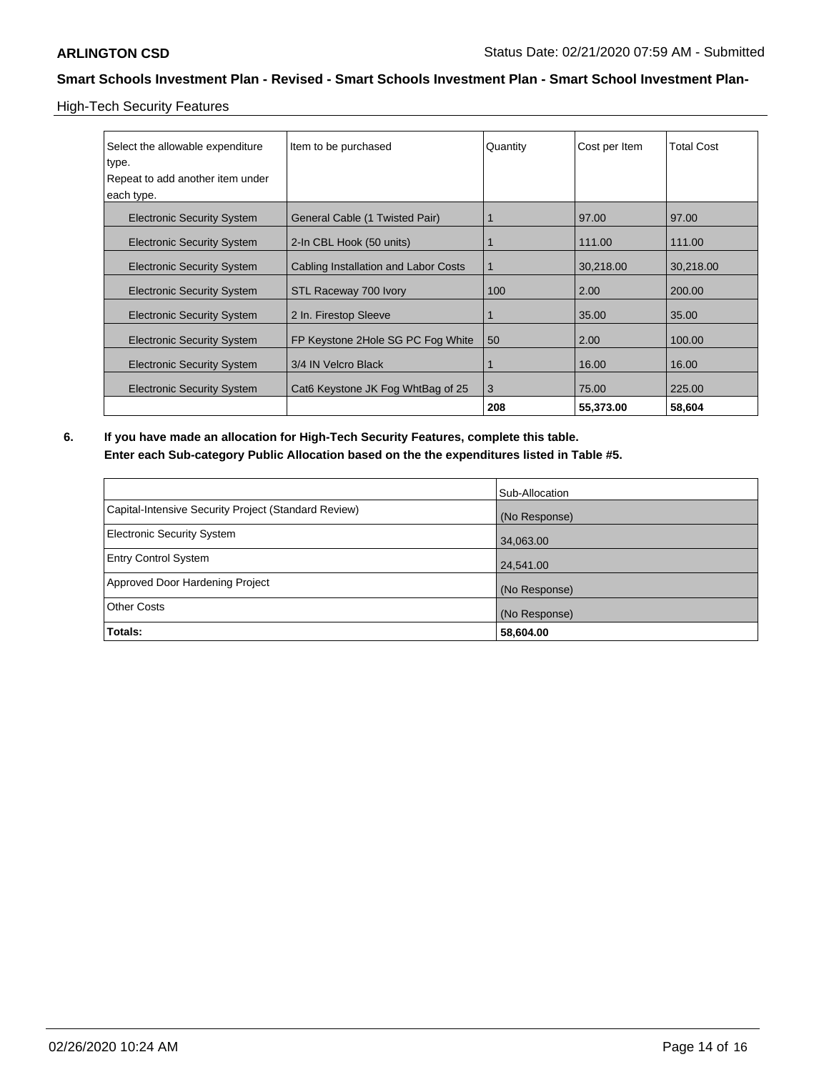High-Tech Security Features

| Select the allowable expenditure<br>type.<br>Repeat to add another item under<br>each type. | Item to be purchased                 | Quantity | Cost per Item | <b>Total Cost</b> |
|---------------------------------------------------------------------------------------------|--------------------------------------|----------|---------------|-------------------|
| <b>Electronic Security System</b>                                                           | General Cable (1 Twisted Pair)       |          | 97.00         | 97.00             |
| <b>Electronic Security System</b>                                                           | 2-In CBL Hook (50 units)             |          | 111.00        | 111.00            |
| <b>Electronic Security System</b>                                                           | Cabling Installation and Labor Costs |          | 30,218.00     | 30,218.00         |
| <b>Electronic Security System</b>                                                           | STL Raceway 700 Ivory                | 100      | 2.00          | 200.00            |
| <b>Electronic Security System</b>                                                           | 2 In. Firestop Sleeve                |          | 35.00         | 35.00             |
| <b>Electronic Security System</b>                                                           | FP Keystone 2Hole SG PC Fog White    | 50       | 2.00          | 100.00            |
| <b>Electronic Security System</b>                                                           | 3/4 IN Velcro Black                  |          | 16.00         | 16.00             |
| <b>Electronic Security System</b>                                                           | Cat6 Keystone JK Fog WhtBag of 25    | 3        | 75.00         | 225.00            |
|                                                                                             |                                      | 208      | 55,373.00     | 58,604            |

**6. If you have made an allocation for High-Tech Security Features, complete this table. Enter each Sub-category Public Allocation based on the the expenditures listed in Table #5.**

|                                                      | Sub-Allocation |
|------------------------------------------------------|----------------|
| Capital-Intensive Security Project (Standard Review) | (No Response)  |
| Electronic Security System                           | 34,063.00      |
| <b>Entry Control System</b>                          | 24,541.00      |
| Approved Door Hardening Project                      | (No Response)  |
| <b>Other Costs</b>                                   | (No Response)  |
| Totals:                                              | 58,604.00      |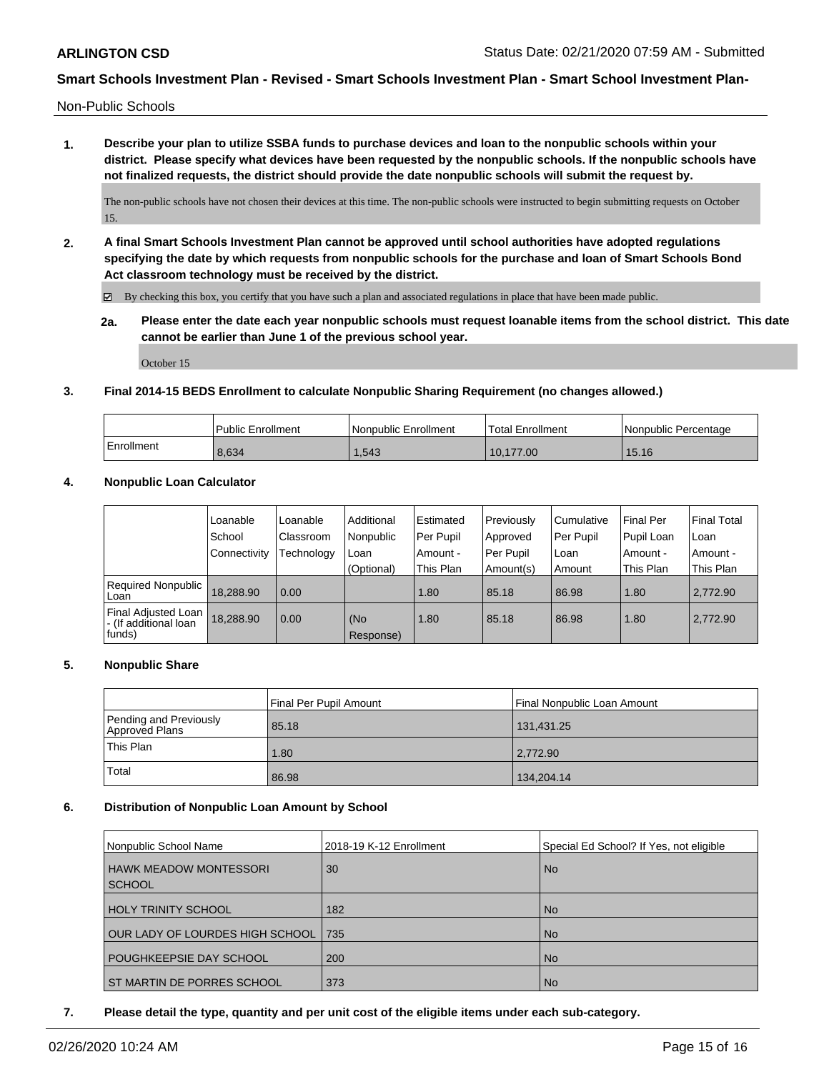Non-Public Schools

**1. Describe your plan to utilize SSBA funds to purchase devices and loan to the nonpublic schools within your district. Please specify what devices have been requested by the nonpublic schools. If the nonpublic schools have not finalized requests, the district should provide the date nonpublic schools will submit the request by.**

The non-public schools have not chosen their devices at this time. The non-public schools were instructed to begin submitting requests on October 15.

**2. A final Smart Schools Investment Plan cannot be approved until school authorities have adopted regulations specifying the date by which requests from nonpublic schools for the purchase and loan of Smart Schools Bond Act classroom technology must be received by the district.**

 $\boxtimes$  By checking this box, you certify that you have such a plan and associated regulations in place that have been made public.

**2a. Please enter the date each year nonpublic schools must request loanable items from the school district. This date cannot be earlier than June 1 of the previous school year.**

October 15

#### **3. Final 2014-15 BEDS Enrollment to calculate Nonpublic Sharing Requirement (no changes allowed.)**

|            | Public Enrollment | <b>Nonpublic Enrollment</b> | Total Enrollment | Nonpublic Percentage |
|------------|-------------------|-----------------------------|------------------|----------------------|
| Enrollment | 8.634             | .543                        | 10.177.00        | 15.16                |

#### **4. Nonpublic Loan Calculator**

|                                                        | Loanable     | Loanable   | Additional       | i Estimated | Previously  | Cumulative | <b>Final Per</b> | Final Total |
|--------------------------------------------------------|--------------|------------|------------------|-------------|-------------|------------|------------------|-------------|
|                                                        | School       | Classroom  | Nonpublic        | Per Pupil   | Approved    | Per Pupil  | Pupil Loan       | l Loan      |
|                                                        | Connectivity | Technology | Loan             | Amount -    | l Per Pupil | Loan       | . Amount -       | Amount -    |
|                                                        |              |            | (Optional)       | This Plan   | Amount(s)   | Amount     | This Plan        | This Plan   |
| <b>Required Nonpublic</b><br>Loan                      | 18.288.90    | 0.00       |                  | 1.80        | 85.18       | 86.98      | 1.80             | 2.772.90    |
| Final Adjusted Loan<br>- (If additional loan<br>funds) | 18,288.90    | 0.00       | (No<br>Response) | 1.80        | 85.18       | 86.98      | 1.80             | 2,772.90    |

#### **5. Nonpublic Share**

|                                          | Final Per Pupil Amount | Final Nonpublic Loan Amount |
|------------------------------------------|------------------------|-----------------------------|
| Pending and Previously<br>Approved Plans | 85.18                  | 131,431.25                  |
| This Plan                                | 1.80                   | 2.772.90                    |
| Total                                    | 86.98                  | 134,204.14                  |

#### **6. Distribution of Nonpublic Loan Amount by School**

| Nonpublic School Name                          | 2018-19 K-12 Enrollment | Special Ed School? If Yes, not eligible |
|------------------------------------------------|-------------------------|-----------------------------------------|
| <b>HAWK MEADOW MONTESSORI</b><br><b>SCHOOL</b> | 30                      | N <sub>o</sub>                          |
| <b>HOLY TRINITY SCHOOL</b>                     | 182                     | <b>No</b>                               |
| OUR LADY OF LOURDES HIGH SCHOOL I              | 735                     | <b>No</b>                               |
| POUGHKEEPSIE DAY SCHOOL                        | 200                     | <b>No</b>                               |
| ST MARTIN DE PORRES SCHOOL                     | 373                     | <b>No</b>                               |

**7. Please detail the type, quantity and per unit cost of the eligible items under each sub-category.**